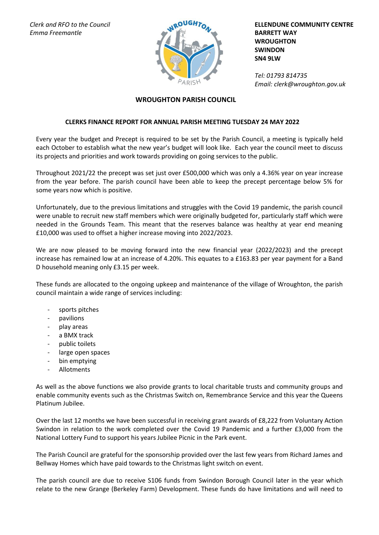*Clerk and RFO to the Council Emma Freemantle*



**ELLENDUNE COMMUNITY CENTRE BARRETT WAY WROUGHTON SWINDON SN4 9LW**

*Tel: 01793 814735 Email: clerk@wroughton.gov.uk*

## **WROUGHTON PARISH COUNCIL**

## **CLERKS FINANCE REPORT FOR ANNUAL PARISH MEETING TUESDAY 24 MAY 2022**

Every year the budget and Precept is required to be set by the Parish Council, a meeting is typically held each October to establish what the new year's budget will look like. Each year the council meet to discuss its projects and priorities and work towards providing on going services to the public.

Throughout 2021/22 the precept was set just over £500,000 which was only a 4.36% year on year increase from the year before. The parish council have been able to keep the precept percentage below 5% for some years now which is positive.

Unfortunately, due to the previous limitations and struggles with the Covid 19 pandemic, the parish council were unable to recruit new staff members which were originally budgeted for, particularly staff which were needed in the Grounds Team. This meant that the reserves balance was healthy at year end meaning £10,000 was used to offset a higher increase moving into 2022/2023.

We are now pleased to be moving forward into the new financial year (2022/2023) and the precept increase has remained low at an increase of 4.20%. This equates to a £163.83 per year payment for a Band D household meaning only £3.15 per week.

These funds are allocated to the ongoing upkeep and maintenance of the village of Wroughton, the parish council maintain a wide range of services including:

- sports pitches
- pavilions
- play areas
- a BMX track
- public toilets
- large open spaces
- bin emptying
- Allotments

As well as the above functions we also provide grants to local charitable trusts and community groups and enable community events such as the Christmas Switch on, Remembrance Service and this year the Queens Platinum Jubilee.

Over the last 12 months we have been successful in receiving grant awards of £8,222 from Voluntary Action Swindon in relation to the work completed over the Covid 19 Pandemic and a further £3,000 from the National Lottery Fund to support his years Jubilee Picnic in the Park event.

The Parish Council are grateful for the sponsorship provided over the last few years from Richard James and Bellway Homes which have paid towards to the Christmas light switch on event.

The parish council are due to receive S106 funds from Swindon Borough Council later in the year which relate to the new Grange (Berkeley Farm) Development. These funds do have limitations and will need to